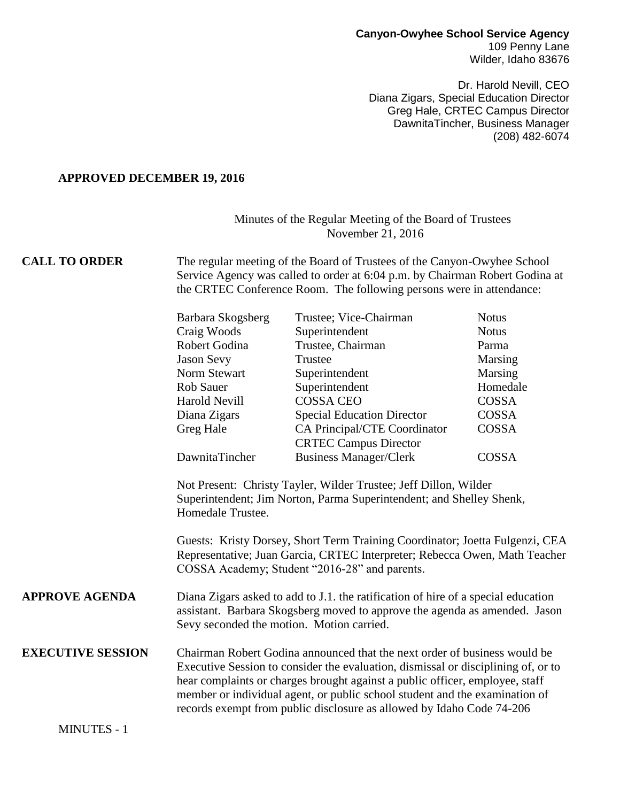## **Canyon-Owyhee School Service Agency** 109 Penny Lane Wilder, Idaho 83676

Dr. Harold Nevill, CEO Diana Zigars, Special Education Director Greg Hale, CRTEC Campus Director DawnitaTincher, Business Manager (208) 482-6074

## **APPROVED DECEMBER 19, 2016**

MINUTES - 1

## Minutes of the Regular Meeting of the Board of Trustees November 21, 2016

**CALL TO ORDER** The regular meeting of the Board of Trustees of the Canyon-Owyhee School Service Agency was called to order at 6:04 p.m. by Chairman Robert Godina at the CRTEC Conference Room. The following persons were in attendance:

|                          | Barbara Skogsberg                                                                                                                                                                                                                                                                                                                                                                                      | Trustee; Vice-Chairman            | <b>Notus</b> |
|--------------------------|--------------------------------------------------------------------------------------------------------------------------------------------------------------------------------------------------------------------------------------------------------------------------------------------------------------------------------------------------------------------------------------------------------|-----------------------------------|--------------|
|                          | Craig Woods                                                                                                                                                                                                                                                                                                                                                                                            | Superintendent                    | <b>Notus</b> |
|                          | Robert Godina                                                                                                                                                                                                                                                                                                                                                                                          | Trustee, Chairman                 | Parma        |
|                          | <b>Jason Sevy</b>                                                                                                                                                                                                                                                                                                                                                                                      | Trustee                           | Marsing      |
|                          | Norm Stewart                                                                                                                                                                                                                                                                                                                                                                                           | Superintendent                    | Marsing      |
|                          | <b>Rob Sauer</b>                                                                                                                                                                                                                                                                                                                                                                                       | Superintendent                    | Homedale     |
|                          | <b>Harold Nevill</b>                                                                                                                                                                                                                                                                                                                                                                                   | <b>COSSA CEO</b>                  | <b>COSSA</b> |
|                          | Diana Zigars                                                                                                                                                                                                                                                                                                                                                                                           | <b>Special Education Director</b> | COSSA        |
|                          | Greg Hale                                                                                                                                                                                                                                                                                                                                                                                              | CA Principal/CTE Coordinator      | <b>COSSA</b> |
|                          |                                                                                                                                                                                                                                                                                                                                                                                                        | <b>CRTEC Campus Director</b>      |              |
|                          | DawnitaTincher                                                                                                                                                                                                                                                                                                                                                                                         | <b>Business Manager/Clerk</b>     | <b>COSSA</b> |
|                          | Superintendent; Jim Norton, Parma Superintendent; and Shelley Shenk,<br>Homedale Trustee.<br>Guests: Kristy Dorsey, Short Term Training Coordinator; Joetta Fulgenzi, CEA<br>Representative; Juan Garcia, CRTEC Interpreter; Rebecca Owen, Math Teacher<br>COSSA Academy; Student "2016-28" and parents.                                                                                               |                                   |              |
| <b>APPROVE AGENDA</b>    | Diana Zigars asked to add to J.1. the ratification of hire of a special education<br>assistant. Barbara Skogsberg moved to approve the agenda as amended. Jason<br>Sevy seconded the motion. Motion carried.                                                                                                                                                                                           |                                   |              |
| <b>EXECUTIVE SESSION</b> | Chairman Robert Godina announced that the next order of business would be<br>Executive Session to consider the evaluation, dismissal or disciplining of, or to<br>hear complaints or charges brought against a public officer, employee, staff<br>member or individual agent, or public school student and the examination of<br>records exempt from public disclosure as allowed by Idaho Code 74-206 |                                   |              |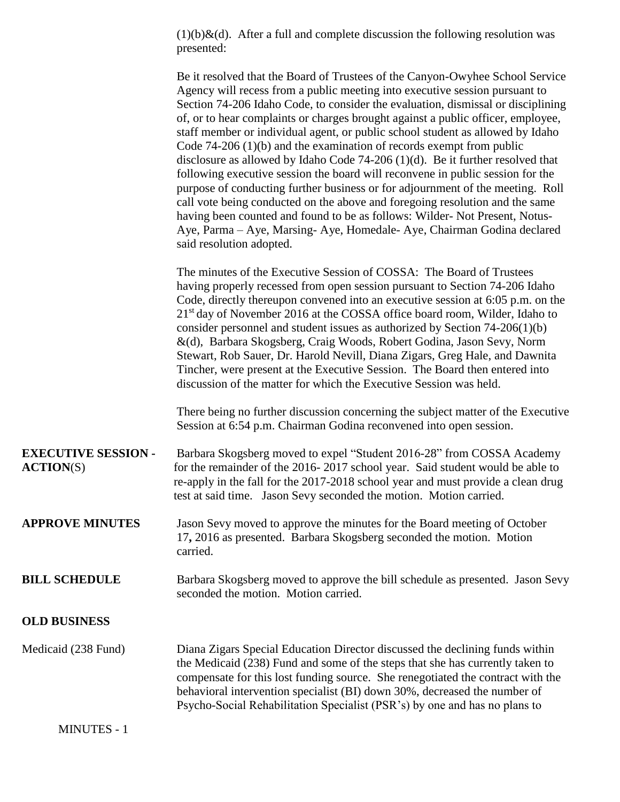$(1)(b)$ &(d). After a full and complete discussion the following resolution was presented:

|                                                  | Be it resolved that the Board of Trustees of the Canyon-Owyhee School Service<br>Agency will recess from a public meeting into executive session pursuant to<br>Section 74-206 Idaho Code, to consider the evaluation, dismissal or disciplining<br>of, or to hear complaints or charges brought against a public officer, employee,<br>staff member or individual agent, or public school student as allowed by Idaho<br>Code $74-206(1)(b)$ and the examination of records exempt from public<br>disclosure as allowed by Idaho Code $74-206$ (1)(d). Be it further resolved that<br>following executive session the board will reconvene in public session for the<br>purpose of conducting further business or for adjournment of the meeting. Roll<br>call vote being conducted on the above and foregoing resolution and the same<br>having been counted and found to be as follows: Wilder-Not Present, Notus-<br>Aye, Parma - Aye, Marsing- Aye, Homedale- Aye, Chairman Godina declared<br>said resolution adopted. |
|--------------------------------------------------|------------------------------------------------------------------------------------------------------------------------------------------------------------------------------------------------------------------------------------------------------------------------------------------------------------------------------------------------------------------------------------------------------------------------------------------------------------------------------------------------------------------------------------------------------------------------------------------------------------------------------------------------------------------------------------------------------------------------------------------------------------------------------------------------------------------------------------------------------------------------------------------------------------------------------------------------------------------------------------------------------------------------------|
|                                                  | The minutes of the Executive Session of COSSA: The Board of Trustees<br>having properly recessed from open session pursuant to Section 74-206 Idaho<br>Code, directly thereupon convened into an executive session at 6:05 p.m. on the<br>21 <sup>st</sup> day of November 2016 at the COSSA office board room, Wilder, Idaho to<br>consider personnel and student issues as authorized by Section $74-206(1)(b)$<br>&(d), Barbara Skogsberg, Craig Woods, Robert Godina, Jason Sevy, Norm<br>Stewart, Rob Sauer, Dr. Harold Nevill, Diana Zigars, Greg Hale, and Dawnita<br>Tincher, were present at the Executive Session. The Board then entered into<br>discussion of the matter for which the Executive Session was held.                                                                                                                                                                                                                                                                                               |
|                                                  | There being no further discussion concerning the subject matter of the Executive<br>Session at 6:54 p.m. Chairman Godina reconvened into open session.                                                                                                                                                                                                                                                                                                                                                                                                                                                                                                                                                                                                                                                                                                                                                                                                                                                                       |
| <b>EXECUTIVE SESSION -</b><br>$\text{ACTION}(S)$ | Barbara Skogsberg moved to expel "Student 2016-28" from COSSA Academy<br>for the remainder of the 2016-2017 school year. Said student would be able to<br>re-apply in the fall for the 2017-2018 school year and must provide a clean drug<br>test at said time. Jason Sevy seconded the motion. Motion carried.                                                                                                                                                                                                                                                                                                                                                                                                                                                                                                                                                                                                                                                                                                             |
| <b>APPROVE MINUTES</b>                           | Jason Sevy moved to approve the minutes for the Board meeting of October<br>17, 2016 as presented. Barbara Skogsberg seconded the motion. Motion<br>carried.                                                                                                                                                                                                                                                                                                                                                                                                                                                                                                                                                                                                                                                                                                                                                                                                                                                                 |
| <b>BILL SCHEDULE</b>                             | Barbara Skogsberg moved to approve the bill schedule as presented. Jason Sevy<br>seconded the motion. Motion carried.                                                                                                                                                                                                                                                                                                                                                                                                                                                                                                                                                                                                                                                                                                                                                                                                                                                                                                        |
| <b>OLD BUSINESS</b>                              |                                                                                                                                                                                                                                                                                                                                                                                                                                                                                                                                                                                                                                                                                                                                                                                                                                                                                                                                                                                                                              |
| Medicaid (238 Fund)                              | Diana Zigars Special Education Director discussed the declining funds within<br>the Medicaid (238) Fund and some of the steps that she has currently taken to<br>compensate for this lost funding source. She renegotiated the contract with the<br>behavioral intervention specialist (BI) down 30%, decreased the number of<br>Psycho-Social Rehabilitation Specialist (PSR's) by one and has no plans to                                                                                                                                                                                                                                                                                                                                                                                                                                                                                                                                                                                                                  |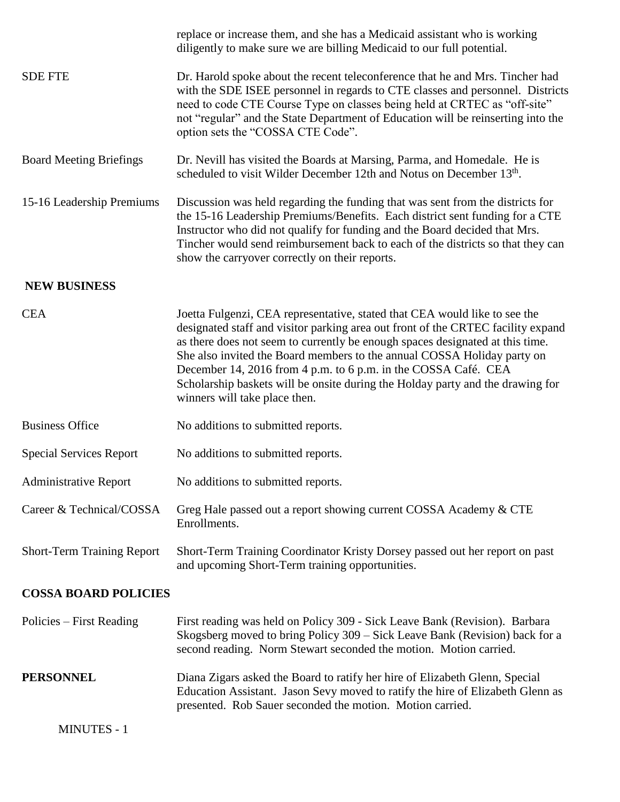|                                   | replace or increase them, and she has a Medicaid assistant who is working<br>diligently to make sure we are billing Medicaid to our full potential.                                                                                                                                                                                                                                                                                                                                                             |
|-----------------------------------|-----------------------------------------------------------------------------------------------------------------------------------------------------------------------------------------------------------------------------------------------------------------------------------------------------------------------------------------------------------------------------------------------------------------------------------------------------------------------------------------------------------------|
| <b>SDE FTE</b>                    | Dr. Harold spoke about the recent teleconference that he and Mrs. Tincher had<br>with the SDE ISEE personnel in regards to CTE classes and personnel. Districts<br>need to code CTE Course Type on classes being held at CRTEC as "off-site"<br>not "regular" and the State Department of Education will be reinserting into the<br>option sets the "COSSA CTE Code".                                                                                                                                           |
| <b>Board Meeting Briefings</b>    | Dr. Nevill has visited the Boards at Marsing, Parma, and Homedale. He is<br>scheduled to visit Wilder December 12th and Notus on December 13th.                                                                                                                                                                                                                                                                                                                                                                 |
| 15-16 Leadership Premiums         | Discussion was held regarding the funding that was sent from the districts for<br>the 15-16 Leadership Premiums/Benefits. Each district sent funding for a CTE<br>Instructor who did not qualify for funding and the Board decided that Mrs.<br>Tincher would send reimbursement back to each of the districts so that they can<br>show the carryover correctly on their reports.                                                                                                                               |
| <b>NEW BUSINESS</b>               |                                                                                                                                                                                                                                                                                                                                                                                                                                                                                                                 |
| <b>CEA</b>                        | Joetta Fulgenzi, CEA representative, stated that CEA would like to see the<br>designated staff and visitor parking area out front of the CRTEC facility expand<br>as there does not seem to currently be enough spaces designated at this time.<br>She also invited the Board members to the annual COSSA Holiday party on<br>December 14, 2016 from 4 p.m. to 6 p.m. in the COSSA Café. CEA<br>Scholarship baskets will be onsite during the Holday party and the drawing for<br>winners will take place then. |
| <b>Business Office</b>            | No additions to submitted reports.                                                                                                                                                                                                                                                                                                                                                                                                                                                                              |
| <b>Special Services Report</b>    | No additions to submitted reports.                                                                                                                                                                                                                                                                                                                                                                                                                                                                              |
| <b>Administrative Report</b>      | No additions to submitted reports.                                                                                                                                                                                                                                                                                                                                                                                                                                                                              |
| Career & Technical/COSSA          | Greg Hale passed out a report showing current COSSA Academy & CTE<br>Enrollments.                                                                                                                                                                                                                                                                                                                                                                                                                               |
| <b>Short-Term Training Report</b> | Short-Term Training Coordinator Kristy Dorsey passed out her report on past<br>and upcoming Short-Term training opportunities.                                                                                                                                                                                                                                                                                                                                                                                  |
| <b>COSSA BOARD POLICIES</b>       |                                                                                                                                                                                                                                                                                                                                                                                                                                                                                                                 |
| Policies – First Reading          | First reading was held on Policy 309 - Sick Leave Bank (Revision). Barbara<br>Skogsberg moved to bring Policy 309 – Sick Leave Bank (Revision) back for a<br>second reading. Norm Stewart seconded the motion. Motion carried.                                                                                                                                                                                                                                                                                  |
| <b>PERSONNEL</b>                  | Diana Zigars asked the Board to ratify her hire of Elizabeth Glenn, Special<br>Education Assistant. Jason Sevy moved to ratify the hire of Elizabeth Glenn as<br>presented. Rob Sauer seconded the motion. Motion carried.                                                                                                                                                                                                                                                                                      |
| <b>MINUTES - 1</b>                |                                                                                                                                                                                                                                                                                                                                                                                                                                                                                                                 |